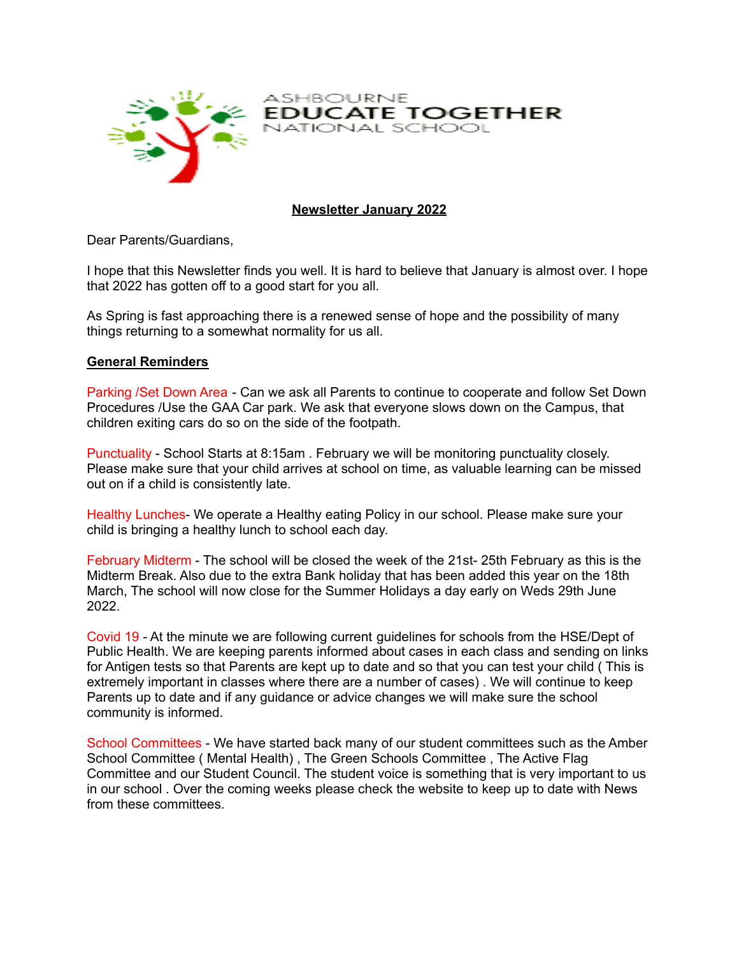

**Newsletter January 2022**

NATIONAL SCHOOL

EDUCATE TOGETHER

ASHBOURNE

Dear Parents/Guardians,

I hope that this Newsletter finds you well. It is hard to believe that January is almost over. I hope that 2022 has gotten off to a good start for you all.

As Spring is fast approaching there is a renewed sense of hope and the possibility of many things returning to a somewhat normality for us all.

## **General Reminders**

Parking /Set Down Area - Can we ask all Parents to continue to cooperate and follow Set Down Procedures /Use the GAA Car park. We ask that everyone slows down on the Campus, that children exiting cars do so on the side of the footpath.

Punctuality - School Starts at 8:15am . February we will be monitoring punctuality closely. Please make sure that your child arrives at school on time, as valuable learning can be missed out on if a child is consistently late.

Healthy Lunches- We operate a Healthy eating Policy in our school. Please make sure your child is bringing a healthy lunch to school each day.

February Midterm - The school will be closed the week of the 21st- 25th February as this is the Midterm Break. Also due to the extra Bank holiday that has been added this year on the 18th March, The school will now close for the Summer Holidays a day early on Weds 29th June 2022.

Covid 19 - At the minute we are following current guidelines for schools from the HSE/Dept of Public Health. We are keeping parents informed about cases in each class and sending on links for Antigen tests so that Parents are kept up to date and so that you can test your child ( This is extremely important in classes where there are a number of cases) . We will continue to keep Parents up to date and if any guidance or advice changes we will make sure the school community is informed.

School Committees - We have started back many of our student committees such as the Amber School Committee ( Mental Health) , The Green Schools Committee , The Active Flag Committee and our Student Council. The student voice is something that is very important to us in our school . Over the coming weeks please check the website to keep up to date with News from these committees.